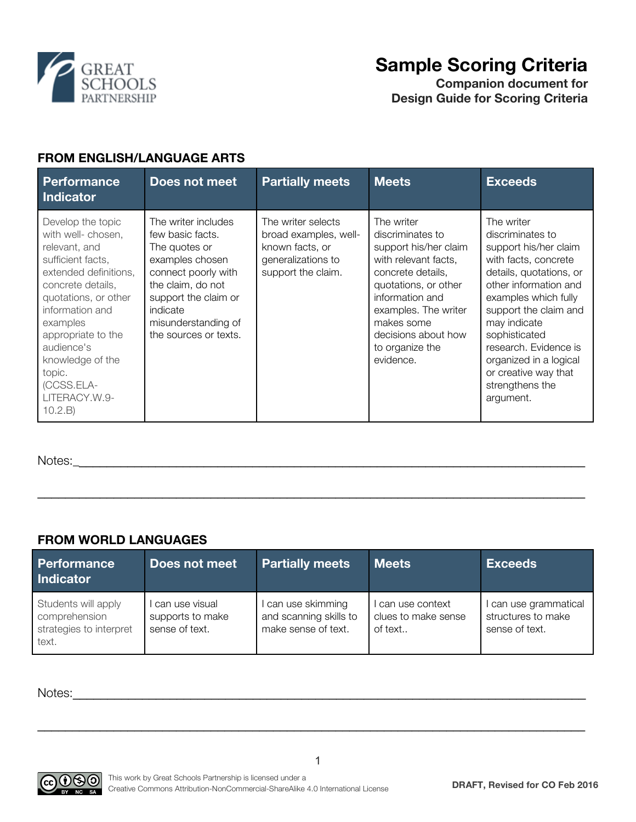

# **Sample Scoring Criteria**

**Companion document for Design Guide for Scoring Criteria**

## **FROM ENGLISH/LANGUAGE ARTS**

| <b>Performance</b><br><b>Indicator</b>                                                                                                                                                                                                                                                         | Does not meet                                                                                                                                                                                               | <b>Partially meets</b>                                                                                     | <b>Meets</b>                                                                                                                                                                                                                                 | <b>Exceeds</b>                                                                                                                                                                                                                                                                                                                   |
|------------------------------------------------------------------------------------------------------------------------------------------------------------------------------------------------------------------------------------------------------------------------------------------------|-------------------------------------------------------------------------------------------------------------------------------------------------------------------------------------------------------------|------------------------------------------------------------------------------------------------------------|----------------------------------------------------------------------------------------------------------------------------------------------------------------------------------------------------------------------------------------------|----------------------------------------------------------------------------------------------------------------------------------------------------------------------------------------------------------------------------------------------------------------------------------------------------------------------------------|
| Develop the topic<br>with well- chosen,<br>relevant, and<br>sufficient facts,<br>extended definitions,<br>concrete details,<br>quotations, or other<br>information and<br>examples<br>appropriate to the<br>audience's<br>knowledge of the<br>topic.<br>(CCSS.ELA-<br>LITERACY.W.9-<br>10.2.B) | The writer includes<br>few basic facts.<br>The quotes or<br>examples chosen<br>connect poorly with<br>the claim, do not<br>support the claim or<br>indicate<br>misunderstanding of<br>the sources or texts. | The writer selects<br>broad examples, well-<br>known facts, or<br>generalizations to<br>support the claim. | The writer<br>discriminates to<br>support his/her claim<br>with relevant facts,<br>concrete details,<br>quotations, or other<br>information and<br>examples. The writer<br>makes some<br>decisions about how<br>to organize the<br>evidence. | The writer<br>discriminates to<br>support his/her claim<br>with facts, concrete<br>details, quotations, or<br>other information and<br>examples which fully<br>support the claim and<br>may indicate<br>sophisticated<br>research. Evidence is<br>organized in a logical<br>or creative way that<br>strengthens the<br>argument. |

Notes:\_\_\_\_\_\_\_\_\_\_\_\_\_\_\_\_\_\_\_\_\_\_\_\_\_\_\_\_\_\_\_\_\_\_\_\_\_\_\_\_\_\_\_\_\_\_\_\_\_\_\_\_\_\_\_\_\_\_\_\_\_\_\_\_\_\_\_\_\_\_\_\_\_\_

#### **FROM WORLD LANGUAGES**

| <b>Performance</b><br><b>Indicator</b>                                   | Does not meet                                        | <b>Partially meets</b>                                            | <b>Meets</b>                                      | <b>Exceeds</b>                                                |
|--------------------------------------------------------------------------|------------------------------------------------------|-------------------------------------------------------------------|---------------------------------------------------|---------------------------------------------------------------|
| Students will apply<br>comprehension<br>strategies to interpret<br>text. | can use visual<br>supports to make<br>sense of text. | can use skimming<br>and scanning skills to<br>make sense of text. | can use context<br>clues to make sense<br>of text | I can use grammatical<br>structures to make<br>sense of text. |

 $\mathcal{L}_\text{max} = \frac{1}{2} \sum_{i=1}^{n} \frac{1}{2} \sum_{i=1}^{n} \frac{1}{2} \sum_{i=1}^{n} \frac{1}{2} \sum_{i=1}^{n} \frac{1}{2} \sum_{i=1}^{n} \frac{1}{2} \sum_{i=1}^{n} \frac{1}{2} \sum_{i=1}^{n} \frac{1}{2} \sum_{i=1}^{n} \frac{1}{2} \sum_{i=1}^{n} \frac{1}{2} \sum_{i=1}^{n} \frac{1}{2} \sum_{i=1}^{n} \frac{1}{2} \sum_{i=1}^{n} \frac{1$ 

1

\_\_\_\_\_\_\_\_\_\_\_\_\_\_\_\_\_\_\_\_\_\_\_\_\_\_\_\_\_\_\_\_\_\_\_\_\_\_\_\_\_\_\_\_\_\_\_\_\_\_\_\_\_\_\_\_\_\_\_\_\_\_\_\_\_\_\_\_\_\_\_\_\_\_\_\_\_\_\_

Notes: